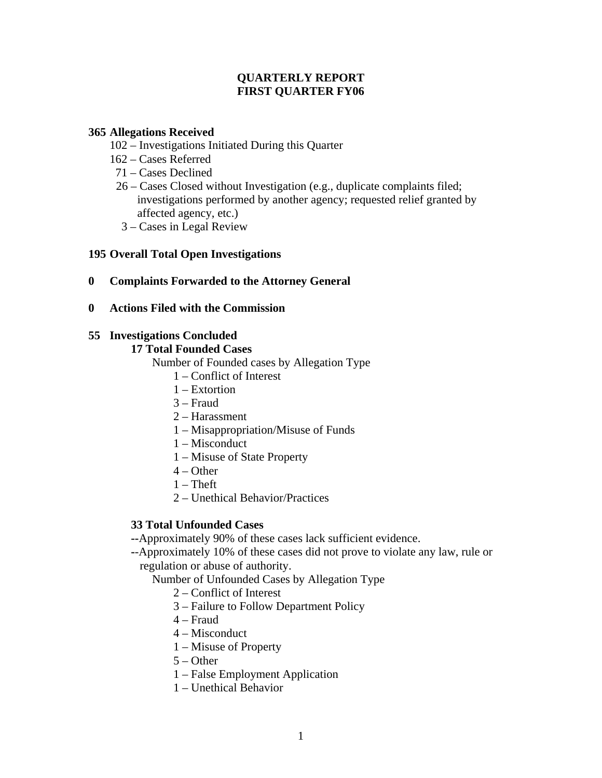## **QUARTERLY REPORT FIRST QUARTER FY06**

## **365 Allegations Received**

- 102 Investigations Initiated During this Quarter
- 162 Cases Referred
- 71 Cases Declined
- 26 Cases Closed without Investigation (e.g., duplicate complaints filed; investigations performed by another agency; requested relief granted by affected agency, etc.)
- 3 Cases in Legal Review

# **195 Overall Total Open Investigations**

- **0 Complaints Forwarded to the Attorney General**
- **0 Actions Filed with the Commission**

## **55 Investigations Concluded**

#### **17 Total Founded Cases**

Number of Founded cases by Allegation Type

- 1 Conflict of Interest
- 1 Extortion
- 3 Fraud
- 2 Harassment
- 1 Misappropriation/Misuse of Funds
- 1 Misconduct
- 1 Misuse of State Property
- $4 Other$
- $1$  Theft
- 2 Unethical Behavior/Practices

# **33 Total Unfounded Cases**

**--**Approximately 90% of these cases lack sufficient evidence.

**-**-Approximately 10% of these cases did not prove to violate any law, rule or regulation or abuse of authority.

Number of Unfounded Cases by Allegation Type

- 2 Conflict of Interest
- 3 Failure to Follow Department Policy
- 4 Fraud
- 4 Misconduct
- 1 Misuse of Property
- $5 Other$
- 1 False Employment Application
- 1 Unethical Behavior